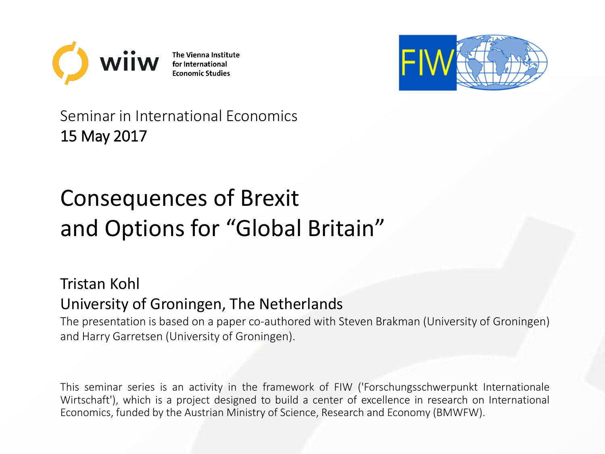

The Vienna Institute for International **Economic Studies** 



Seminar in International Economics 15 May 2017

# Consequences of Brexit and Options for "Global Britain"

## Tristan Kohl University of Groningen, The Netherlands

The presentation is based on a paper co-authored with Steven Brakman (University of Groningen) and Harry Garretsen (University of Groningen).

This seminar series is an activity in the framework of FIW ('Forschungsschwerpunkt Internationale Wirtschaft'), which is a project designed to build a center of excellence in research on International Economics, funded by the Austrian Ministry of Science, Research and Economy (BMWFW).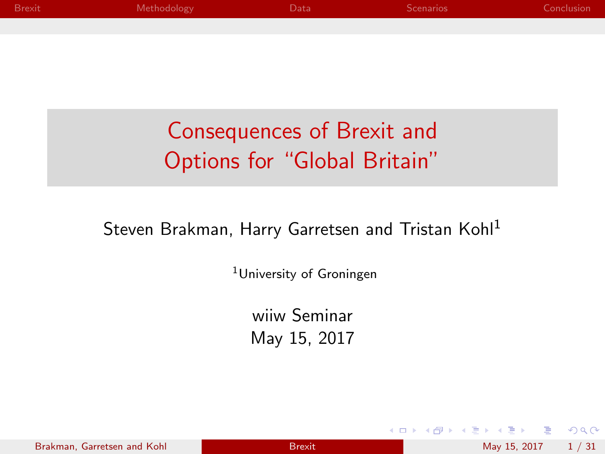| <b>Brexit</b> | Methodology | Data                         | <b>Scenarios</b> | Conclusion |
|---------------|-------------|------------------------------|------------------|------------|
|               |             |                              |                  |            |
|               |             |                              |                  |            |
|               |             |                              |                  |            |
|               |             |                              |                  |            |
|               |             |                              |                  |            |
|               |             |                              |                  |            |
|               |             | Consequences of Brexit and   |                  |            |
|               |             | Options for "Global Britain" |                  |            |
|               |             |                              |                  |            |

#### Steven Brakman, Harry Garretsen and Tristan Kohl<sup>1</sup>

<sup>1</sup>University of Groningen

wiiw Seminar May 15, 2017

4.0.3

na m≊

<span id="page-1-0"></span> $OQ$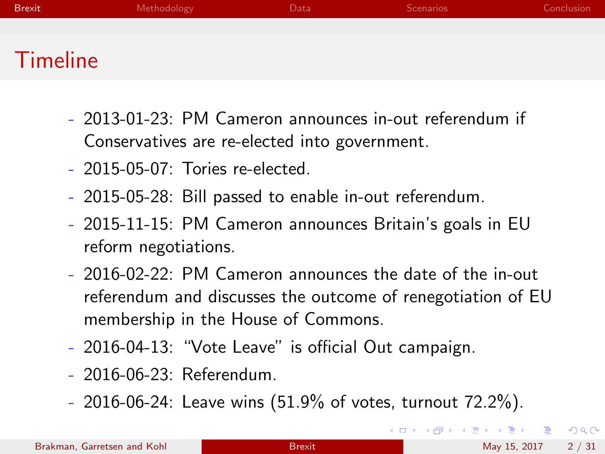| <b>Brexit</b> | Methodology | )ata | <b>Scenarios</b> | Conclusion |
|---------------|-------------|------|------------------|------------|
|               |             |      |                  |            |
| Timeline      |             |      |                  |            |

- 2013-01-23: PM Cameron announces in-out referendum if Conservatives are re-elected into government.
- 2015-05-07: Tories re-elected.
- 2015-05-28: Bill passed to enable in-out referendum.
- 2015-11-15: PM Cameron announces Britain's goals in EU reform negotiations.
- 2016-02-22: PM Cameron announces the date of the in-out referendum and discusses the outcome of renegotiation of EU membership in the House of Commons.
- 2016-04-13: "Vote Leave" is official Out campaign.
- 2016-06-23: Referendum.
- 2016-06-24: Leave wins (51.9% of votes, turnout 72.2%).

<span id="page-2-0"></span> $\equiv$   $\cap$   $\alpha$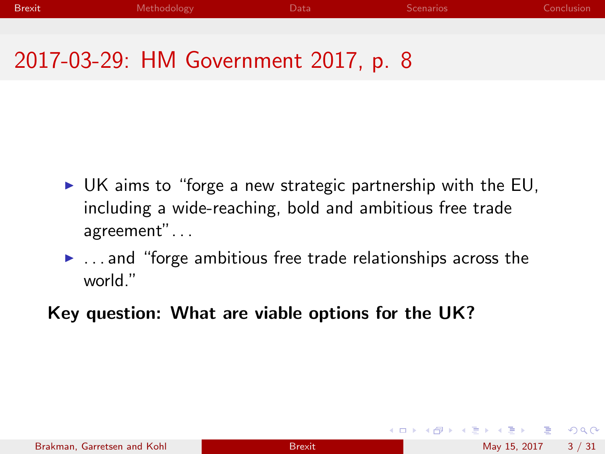## 2017-03-29: HM Government 2017, p. 8

- $\triangleright$  UK aims to "forge a new strategic partnership with the EU, including a wide-reaching, bold and ambitious free trade agreement". . .
- $\blacktriangleright$  ... and "forge ambitious free trade relationships across the world."
- Key question: What are viable options for the UK?

 $\equiv$   $\cap$   $\alpha$ 

イロト イ押ト イヨト イヨト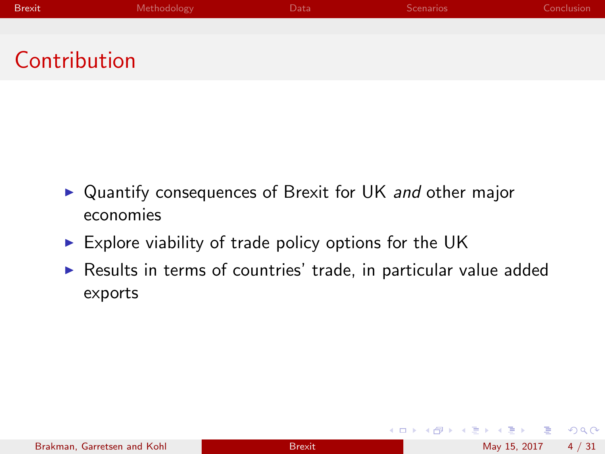## Contribution

- ▶ Quantify consequences of Brexit for UK and other major economies
- $\triangleright$  Explore viability of trade policy options for the UK
- $\triangleright$  Results in terms of countries' trade, in particular value added exports

4 日下

 $\Omega$ 

化重新润滑脂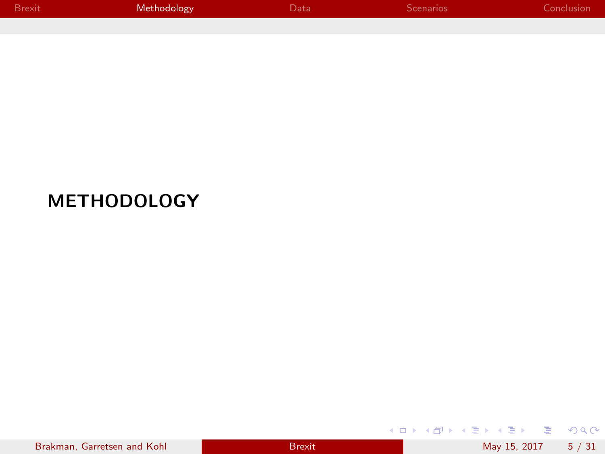| Brexit | Methodology | Data <sup>1</sup> | <b>Scenarios</b> | Conclusion |
|--------|-------------|-------------------|------------------|------------|
|        |             |                   |                  |            |

## METHODOLOGY

|  |  |  | Brakman, Garretsen and Kohl |  |  |
|--|--|--|-----------------------------|--|--|
|--|--|--|-----------------------------|--|--|

<span id="page-5-0"></span> $\equiv$  990

メロトメ 伊 トメ 君 トメ 君 ト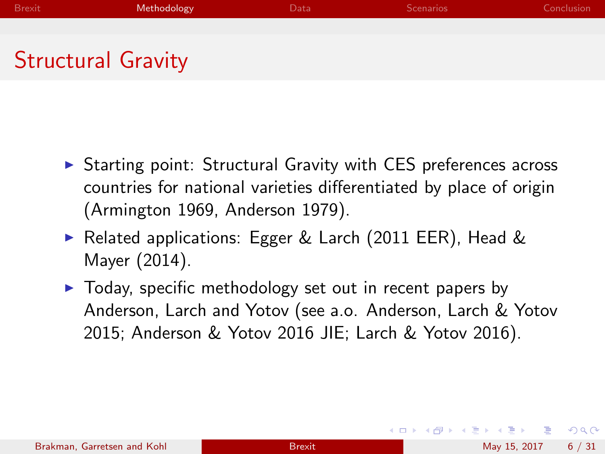## Structural Gravity

- $\triangleright$  Starting point: Structural Gravity with CES preferences across countries for national varieties differentiated by place of origin (Armington 1969, Anderson 1979).
- ► Related applications: Egger & Larch (2011 EER), Head & Mayer (2014).
- $\blacktriangleright$  Today, specific methodology set out in recent papers by Anderson, Larch and Yotov (see a.o. Anderson, Larch & Yotov 2015; Anderson & Yotov 2016 JIE; Larch & Yotov 2016).

 $QQ$ 

イロト イ母 トイヨ トイヨト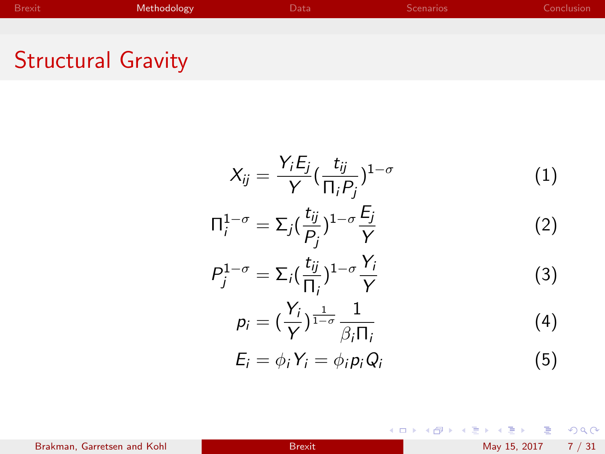## Structural Gravity

$$
X_{ij} = \frac{Y_i E_j}{Y} \left(\frac{t_{ij}}{\Pi_i P_j}\right)^{1-\sigma}
$$
(1)  

$$
\Pi_i^{1-\sigma} = \Sigma_j \left(\frac{t_{ij}}{P_j}\right)^{1-\sigma} \frac{E_j}{Y}
$$
(2)  

$$
P_j^{1-\sigma} = \Sigma_i \left(\frac{t_{ij}}{\Pi_i}\right)^{1-\sigma} \frac{Y_i}{Y}
$$
(3)  

$$
p_i = \left(\frac{Y_i}{Y}\right)^{\frac{1}{1-\sigma}} \frac{1}{\beta_i \Pi_i}
$$
(4)  

$$
E_i = \phi_i Y_i = \phi_i p_i Q_i
$$
(5)

 $2990$ 

メロトメ 伊 トメ 君 トメ 君 ト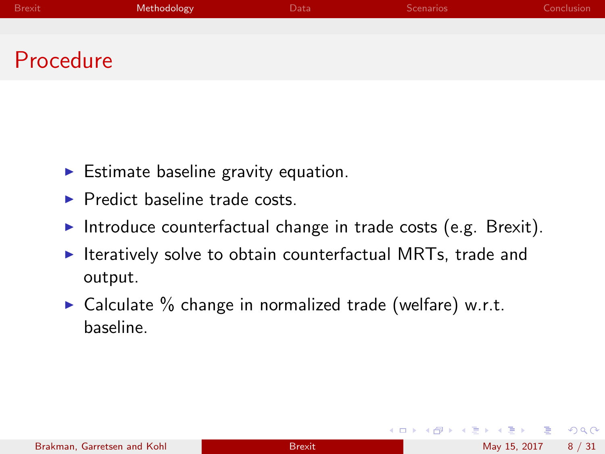| <b>Brexit</b> | Methodology | Data | <b>Scenarios</b> | Conclusion |
|---------------|-------------|------|------------------|------------|
|               |             |      |                  |            |
| Procedure     |             |      |                  |            |

- $\blacktriangleright$  Estimate baseline gravity equation.
- $\blacktriangleright$  Predict baseline trade costs.
- Introduce counterfactual change in trade costs (e.g. Brexit).
- $\triangleright$  Iteratively solve to obtain counterfactual MRTs, trade and output.
- $\triangleright$  Calculate % change in normalized trade (welfare) w.r.t. baseline.

4 0 8

 $\Omega$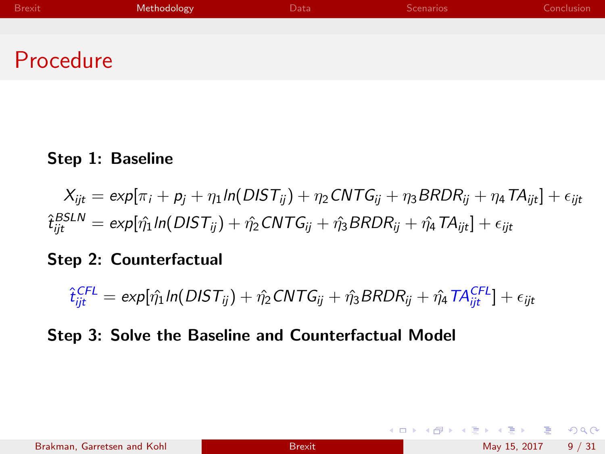| Brexit | Methodology | Data | Scenarios | Conclusion |
|--------|-------------|------|-----------|------------|
|        |             |      |           |            |
|        |             |      |           |            |

## Procedure

#### Step 1: Baseline

$$
X_{ijt} = \exp[\pi_i + p_j + \eta_1 \ln(DIST_{ij}) + \eta_2 CNTG_{ij} + \eta_3 BRDR_{ij} + \eta_4 TA_{ijt}] + \epsilon_{ijt}
$$
  

$$
\hat{t}_{ijt}^{BSLN} = \exp[\hat{\eta_1} \ln(DIST_{ij}) + \hat{\eta_2} CNTG_{ij} + \hat{\eta_3} BRDR_{ij} + \hat{\eta_4} TA_{ijt}] + \epsilon_{ijt}
$$

#### Step 2: Counterfactual

$$
\hat{t}_{ijt}^{CFL} = \exp[\hat{\eta_1} \text{ln}(DIST_{ij}) + \hat{\eta_2} CNTG_{ij} + \hat{\eta_3} BRDR_{ij} + \hat{\eta_4} TA_{ijt}^{CFL}] + \epsilon_{ijt}
$$

#### Step 3: Solve the Baseline and Counterfactual Model

 $\equiv$  990

イロト イ部 トメ ヨ トメ ヨト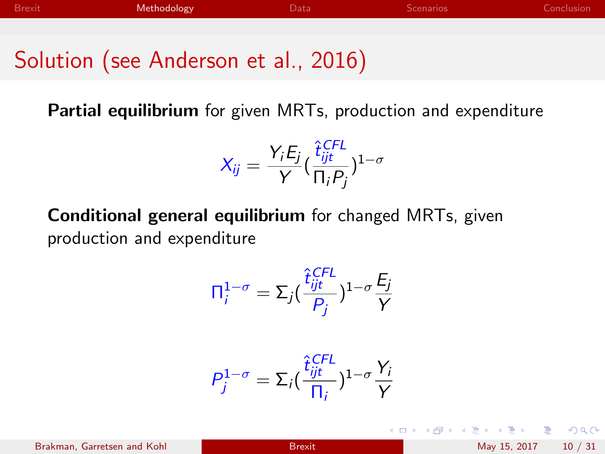## Solution (see Anderson et al., 2016)

Partial equilibrium for given MRTs, production and expenditure

$$
X_{ij} = \frac{Y_i E_j}{Y} (\frac{\hat{t}_{ijt}^{CFL}}{\Pi_i P_j})^{1-\sigma}
$$

Conditional general equilibrium for changed MRTs, given production and expenditure

$$
\Pi_i^{1-\sigma} = \Sigma_j \left(\frac{\hat{t}_{ijt}^{CFL}}{P_j}\right)^{1-\sigma} \frac{E_j}{Y}
$$

$$
P_j^{1-\sigma} = \Sigma_i \left(\frac{\hat{t}_{ijt}^{CFL}}{\Pi_i}\right)^{1-\sigma} \frac{Y_i}{Y}
$$

Brakman, Garretsen and Kohl [Brexit](#page-1-0) May 15, 2017 10 / 31

イロト イ押 トイヨト イヨ

B.  $\Omega$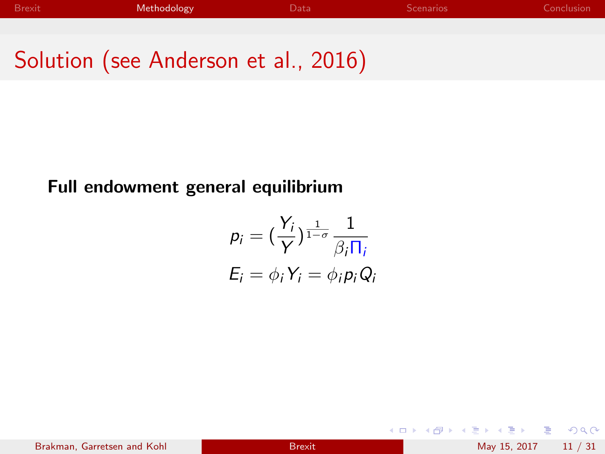Solution (see Anderson et al., 2016)

#### Full endowment general equilibrium

$$
p_i = \left(\frac{Y_i}{Y}\right)^{\frac{1}{1-\sigma}} \frac{1}{\beta_i \Pi_i}
$$
  

$$
E_i = \phi_i Y_i = \phi_i p_i Q_i
$$

Brakman, Garretsen and Kohl [Brexit](#page-1-0) Brexit May 15, 2017 11 / 31

4 0 8

→ 御 ▶ → 君 ▶ → 君

 $OQ$ 

 $\equiv$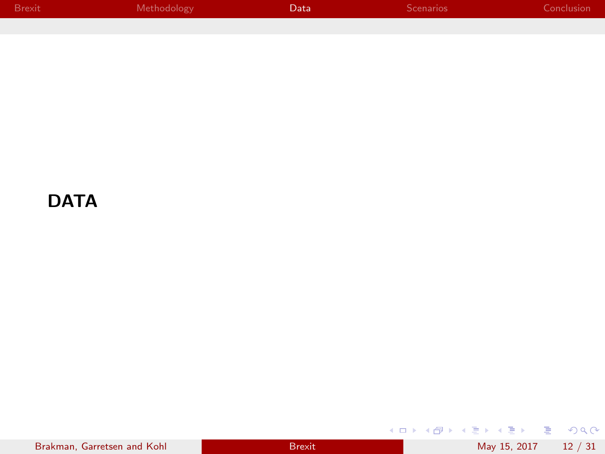| Brexit | Methodology | <b>Data</b> | Scenarios | Conclusion |
|--------|-------------|-------------|-----------|------------|
|        |             |             |           |            |

#### **DATA**

| Brakman, Garretsen and Kohl |  |
|-----------------------------|--|
|-----------------------------|--|

<span id="page-12-0"></span>メロトメタトメ ミドメミド ニミックダウ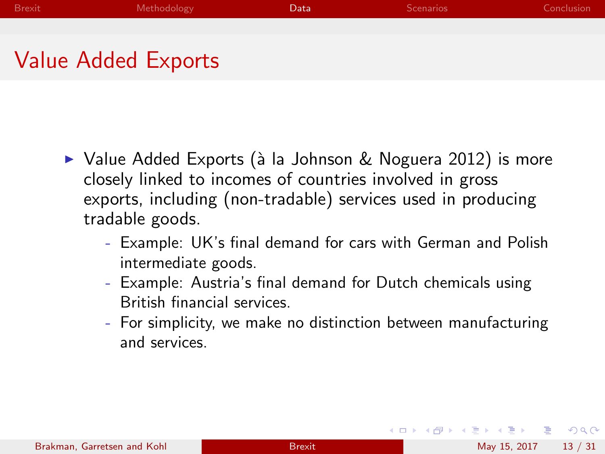## Value Added Exports

- $\triangleright$  Value Added Exports (à la Johnson & Noguera 2012) is more closely linked to incomes of countries involved in gross exports, including (non-tradable) services used in producing tradable goods.
	- Example: UK's final demand for cars with German and Polish intermediate goods.
	- Example: Austria's final demand for Dutch chemicals using British financial services.
	- For simplicity, we make no distinction between manufacturing and services.

 $=$   $\Omega$ 

イロト イ押ト イヨト イヨト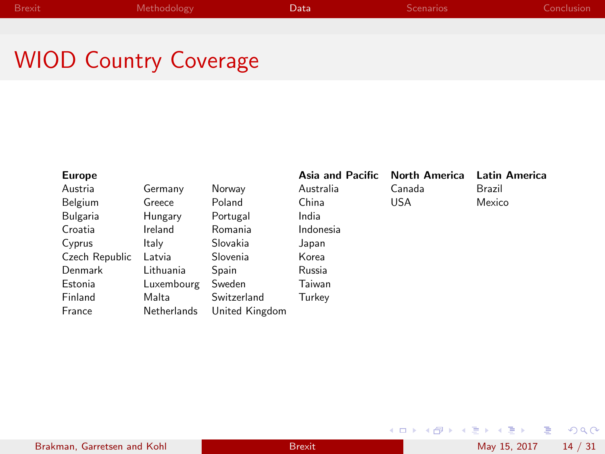## WIOD Country Coverage

| <b>Europe</b>  |             |                | Asia and Pacific | <b>North America</b> | Latin America |
|----------------|-------------|----------------|------------------|----------------------|---------------|
| Austria        | Germany     | Norway         | Australia        | Canada               | Brazil        |
| Belgium        | Greece      | Poland         | China            | <b>USA</b>           | Mexico        |
| Bulgaria       | Hungary     | Portugal       | India            |                      |               |
| Croatia        | Ireland     | Romania        | Indonesia        |                      |               |
| Cyprus         | Italy       | Slovakia       | Japan            |                      |               |
| Czech Republic | Latvia      | Slovenia       | Korea            |                      |               |
| Denmark        | Lithuania   | Spain          | Russia           |                      |               |
| Estonia        | Luxembourg  | Sweden         | Taiwan           |                      |               |
| Finland        | Malta       | Switzerland    | Turkey           |                      |               |
| France         | Netherlands | United Kingdom |                  |                      |               |

 $\equiv$  990

イロト イ部 トイヨ トイヨト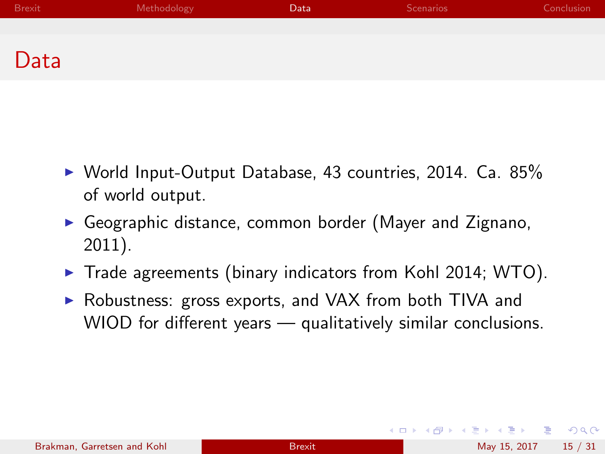| <b>Brexit</b> | Methodology | Data | <b>Scenarios</b> | Conclusion |
|---------------|-------------|------|------------------|------------|
|               |             |      |                  |            |
| Data          |             |      |                  |            |

- $\triangleright$  World Input-Output Database, 43 countries, 2014. Ca. 85% of world output.
- $\triangleright$  Geographic distance, common border (Mayer and Zignano, 2011).
- $\blacktriangleright$  Trade agreements (binary indicators from Kohl 2014; WTO).
- ▶ Robustness: gross exports, and VAX from both TIVA and WIOD for different years — qualitatively similar conclusions.

4 日下

 $\Omega$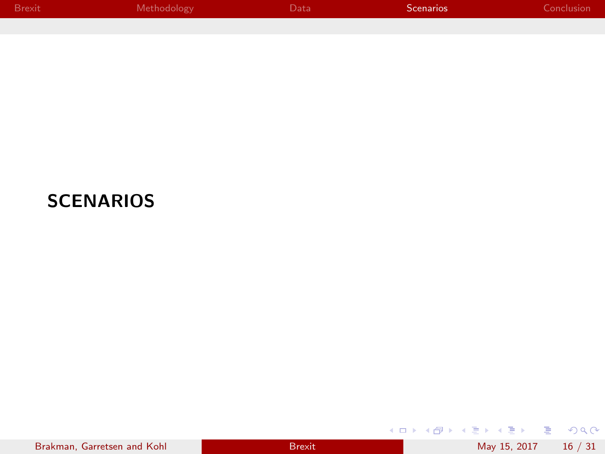| <b>Brexit</b> | <b>Methodology</b> | Data | Scenarios | Conclusion |
|---------------|--------------------|------|-----------|------------|
|               |                    |      |           |            |

## **SCENARIOS**

| Brakman, Garretsen and Kohl |  |  |
|-----------------------------|--|--|
|-----------------------------|--|--|

<span id="page-16-0"></span>K ロ ▶ K @ ▶ K 콜 ▶ K 콜 ▶ │ 콜 │ ◆ 9 Q ⊙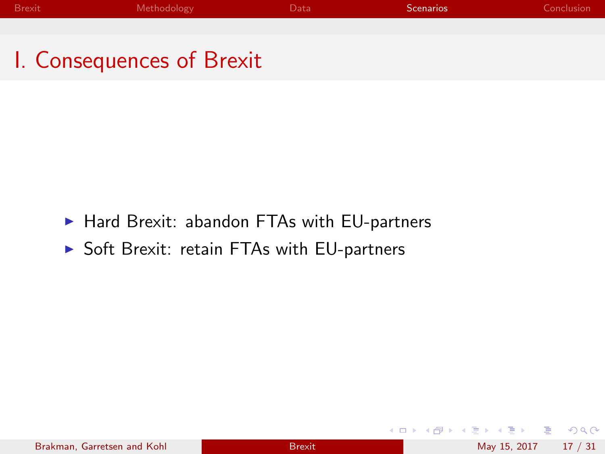I. Consequences of Brexit

- $\blacktriangleright$  Hard Brexit: abandon FTAs with EU-partners
- ▶ Soft Brexit: retain FTAs with EU-partners

 $\Omega$ 

- 4 君 8 - 4 君 8

**4 ロト 4 何 ト**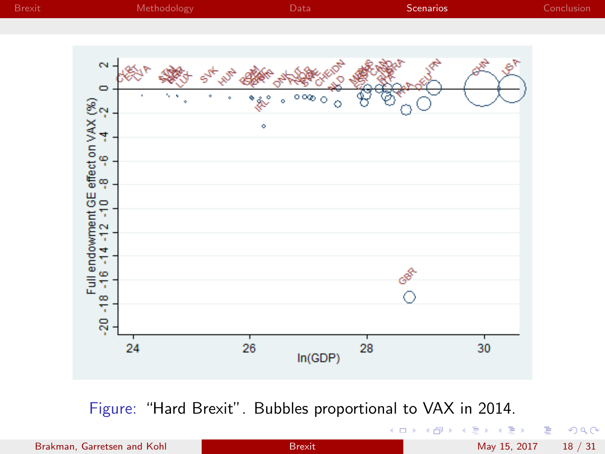

Figure: "Hard Brexit". Bubbles proportional to VAX in 2014.

Brakman, Garretsen and Kohl [Brexit](#page-1-0) Brexit May 15, 2017 18 / 31

活

 $299$ 

 $\prec \equiv$ 

×

. p

4 日下

×. 一 ×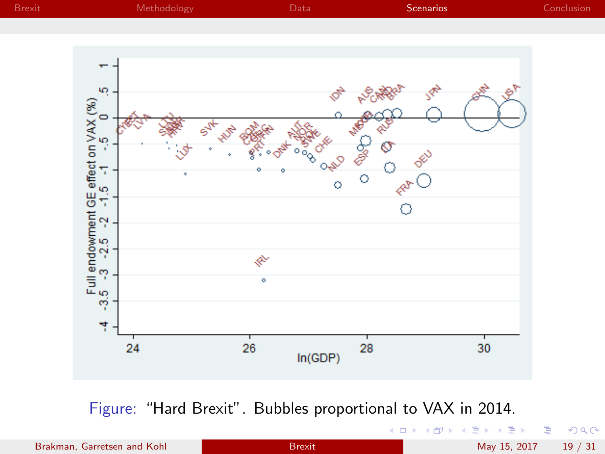

Figure: "Hard Brexit". Bubbles proportional to VAX in 2014.

4.0.3

目 Brakman, Garretsen and Kohl [Brexit](#page-1-0) Brexit May 15, 2017 19 / 31

重 þ

 $\blacktriangleleft$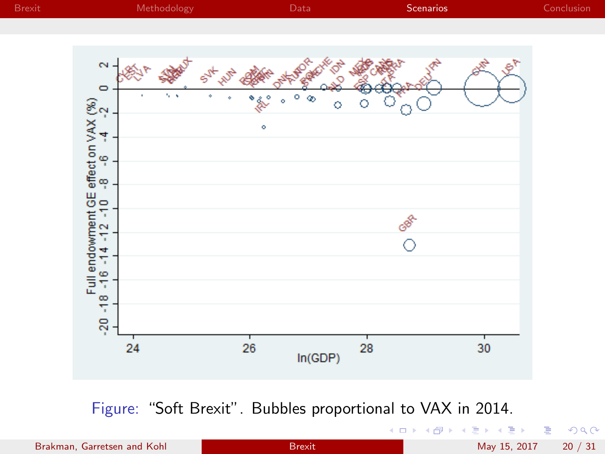

Figure: "Soft Brexit". Bubbles proportional to VAX in 2014.

4 日下

 $\mathcal{A}$ 

Brakman, Garretsen and Kohl [Brexit](#page-1-0) Brexit May 15, 2017 20 / 31

活

 $299$ 

 $\rightarrow \equiv$ 

×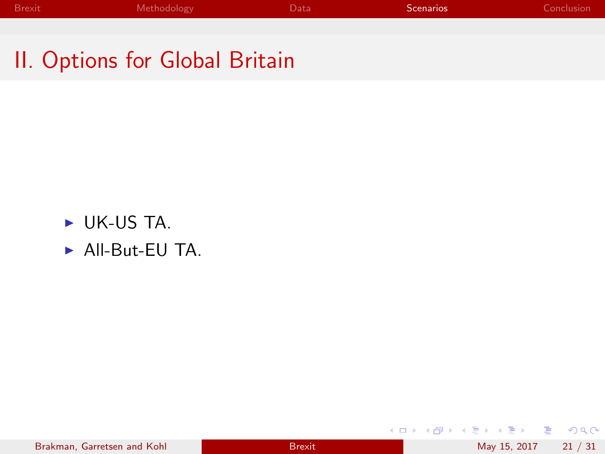II. Options for Global Britain

- $\triangleright$  UK-US TA.
- $\triangleright$  All-But-EU TA.

重

 $2990$ 

イロト イ部 トイヨ トイヨト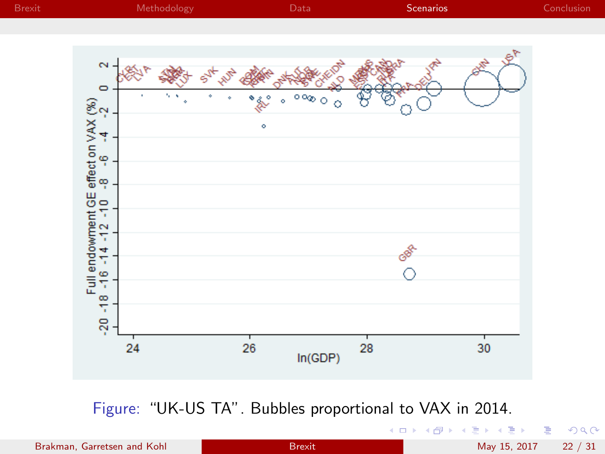

Figure: "UK-US TA". Bubbles proportional to VAX in 2014.

4.0.3

Brakman, Garretsen and Kohl [Brexit](#page-1-0) Brexit May 15, 2017 22 / 31

活

一4 陸 J.

×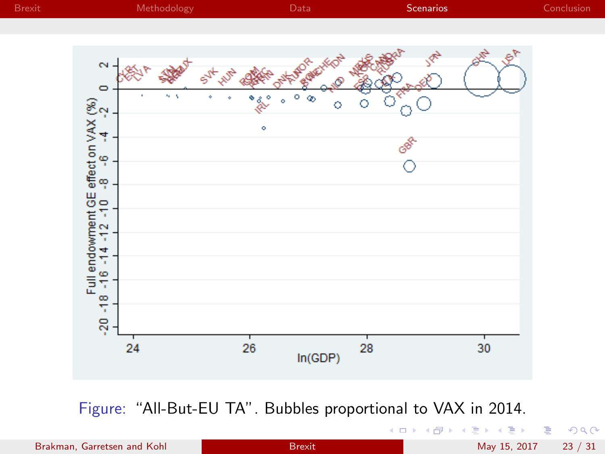

Figure: "All-But-EU TA". Bubbles proportional to VAX in 2014.

4.0.3

Brakman, Garretsen and Kohl [Brexit](#page-1-0) Brexit May 15, 2017 23 / 31

活

重 J.

 $\prec$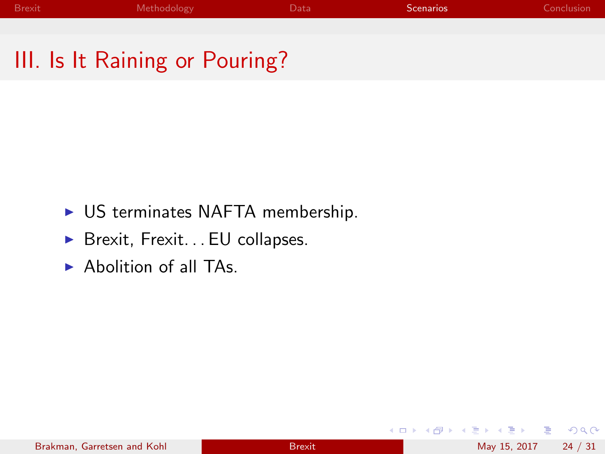## III. Is It Raining or Pouring?

- $\triangleright$  US terminates NAFTA membership.
- $\triangleright$  Brexit, Frexit... EU collapses.
- $\blacktriangleright$  Abolition of all TAs.

4 日下

 $\Omega$ 

. p

医毛囊 医牙骨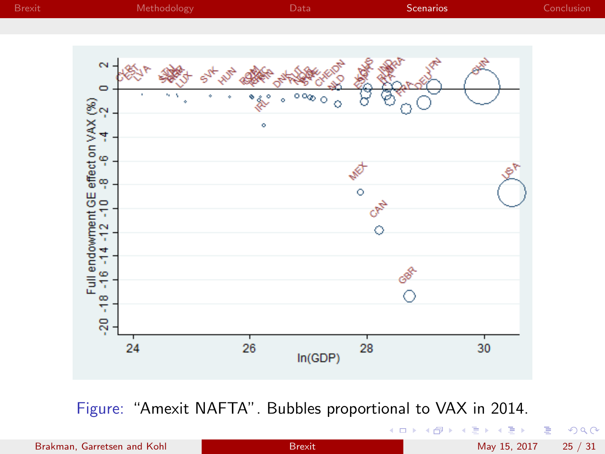

Figure: "Amexit NAFTA". Bubbles proportional to VAX in 2014.

4.0.3

Brakman, Garretsen and Kohl [Brexit](#page-1-0) Brexit May 15, 2017 25 / 31

活

重 J.

 $\blacktriangleleft$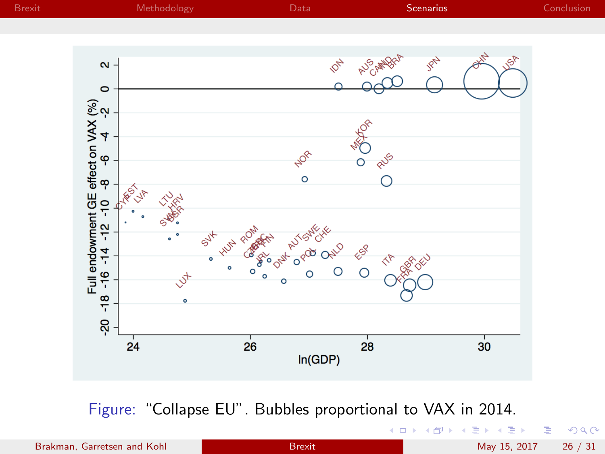

Figure: "Collapse EU". Bubbles proportional to VAX in 2014.

 $\leftarrow$ 

目 Brakman, Garretsen and Kohl [Brexit](#page-1-0) Brexit May 15, 2017 26 / 31

∍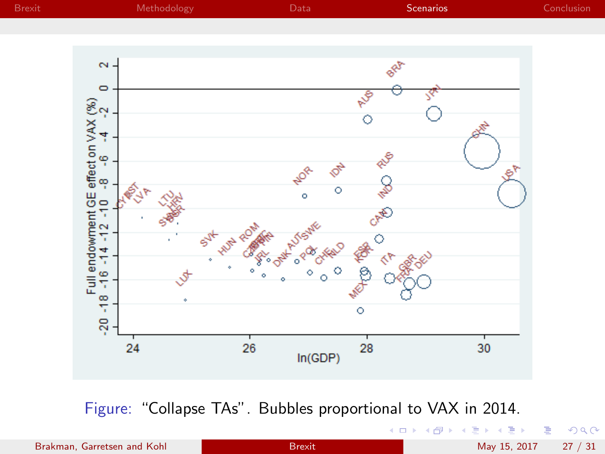

Figure: "Collapse TAs". Bubbles proportional to VAX in 2014.

4.0.3

Brakman, Garretsen and Kohl [Brexit](#page-1-0) Brexit May 15, 2017 27 / 31

目

Þ

× Þ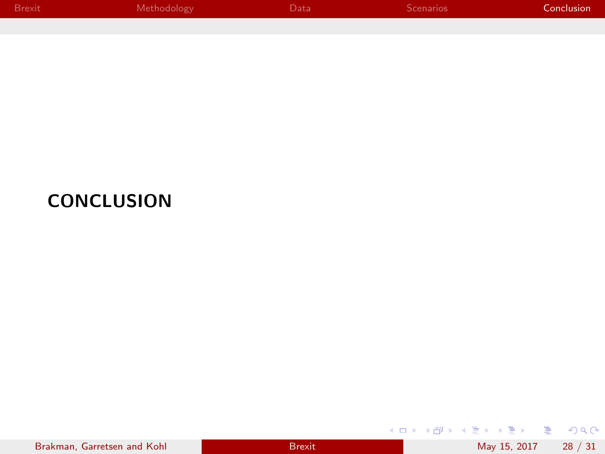| Brexit | Methodology | Data' | <b>Scenarios</b> | Conclusion |
|--------|-------------|-------|------------------|------------|
|        |             |       |                  |            |

## **CONCLUSION**

|  | Brakman, Garretsen and Kohl |  |
|--|-----------------------------|--|
|  |                             |  |

<span id="page-28-0"></span>K ロ ▶ K @ ▶ K 콜 ▶ K 콜 ▶ │ 콜 │ ◆ 9 Q ⊙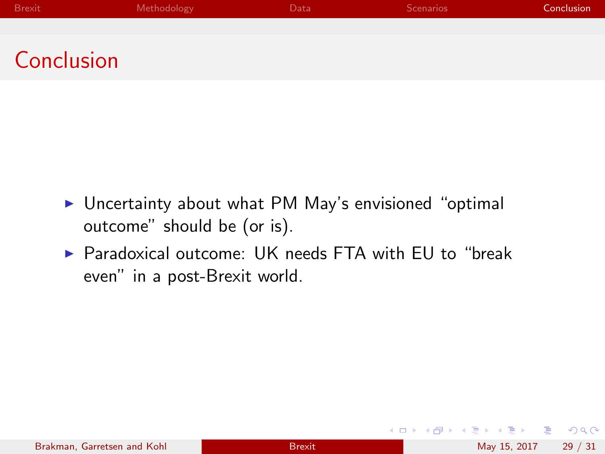| Brexit <sup>1</sup> | Methodology | Data | Scenarios | Conclusion |
|---------------------|-------------|------|-----------|------------|
|                     |             |      |           |            |
|                     |             |      |           |            |

Conclusion

- $\triangleright$  Uncertainty about what PM May's envisioned "optimal outcome" should be (or is).
- ▶ Paradoxical outcome: UK needs FTA with FU to "break even" in a post-Brexit world.

 $\Omega$ 

化重 网络重

4 0 8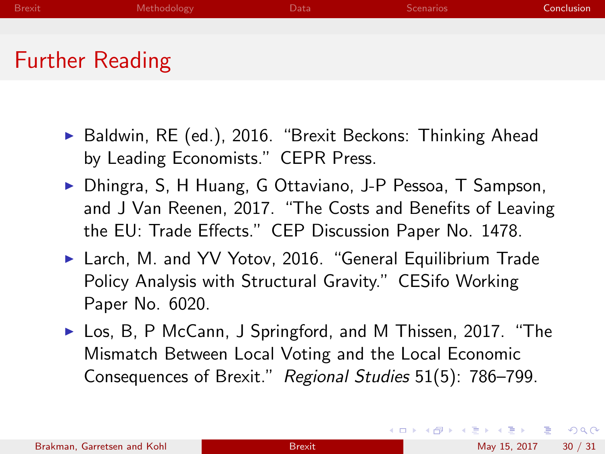- ▶ Baldwin, RE (ed.), 2016. "Brexit Beckons: Thinking Ahead by Leading Economists." CEPR Press.
- ▶ Dhingra, S, H Huang, G Ottaviano, J-P Pessoa, T Sampson, and J Van Reenen, 2017. "The Costs and Benefits of Leaving the EU: Trade Effects." CEP Discussion Paper No. 1478.
- ▶ Larch, M. and YV Yotov, 2016. "General Equilibrium Trade Policy Analysis with Structural Gravity." CESifo Working Paper No. 6020.
- ► Los, B, P McCann, J Springford, and M Thissen, 2017. "The Mismatch Between Local Voting and the Local Economic Consequences of Brexit." Regional Studies 51(5): 786–799.

 $QQ$ 

イロト イ押ト イヨト イヨト